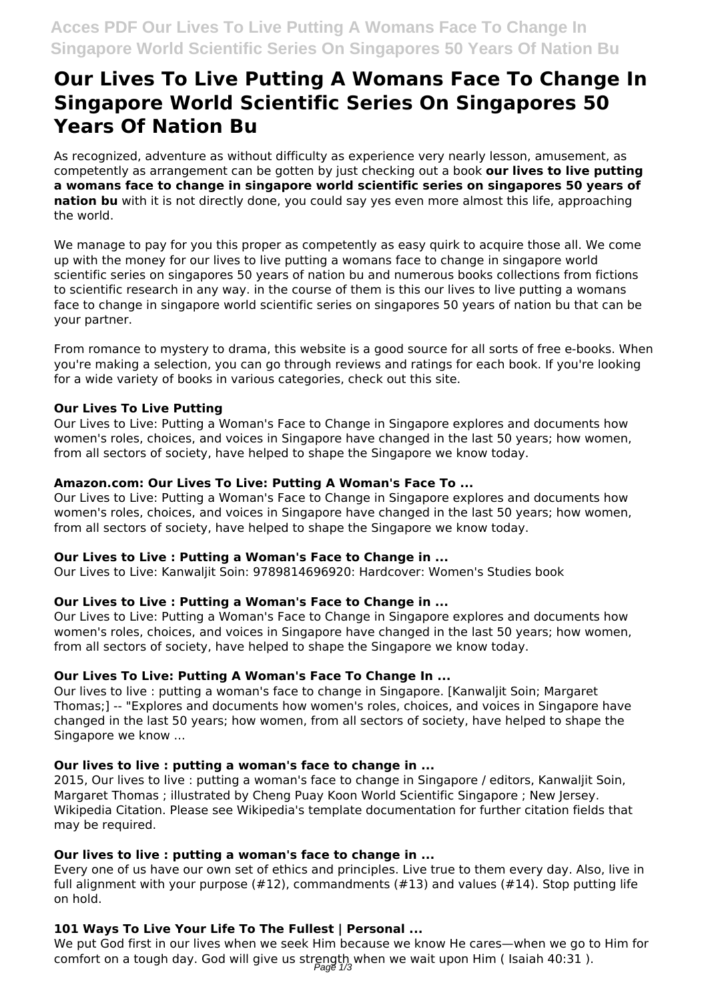# **Our Lives To Live Putting A Womans Face To Change In Singapore World Scientific Series On Singapores 50 Years Of Nation Bu**

As recognized, adventure as without difficulty as experience very nearly lesson, amusement, as competently as arrangement can be gotten by just checking out a book **our lives to live putting a womans face to change in singapore world scientific series on singapores 50 years of nation bu** with it is not directly done, you could say yes even more almost this life, approaching the world.

We manage to pay for you this proper as competently as easy quirk to acquire those all. We come up with the money for our lives to live putting a womans face to change in singapore world scientific series on singapores 50 years of nation bu and numerous books collections from fictions to scientific research in any way. in the course of them is this our lives to live putting a womans face to change in singapore world scientific series on singapores 50 years of nation bu that can be your partner.

From romance to mystery to drama, this website is a good source for all sorts of free e-books. When you're making a selection, you can go through reviews and ratings for each book. If you're looking for a wide variety of books in various categories, check out this site.

#### **Our Lives To Live Putting**

Our Lives to Live: Putting a Woman's Face to Change in Singapore explores and documents how women's roles, choices, and voices in Singapore have changed in the last 50 years; how women, from all sectors of society, have helped to shape the Singapore we know today.

## **Amazon.com: Our Lives To Live: Putting A Woman's Face To ...**

Our Lives to Live: Putting a Woman's Face to Change in Singapore explores and documents how women's roles, choices, and voices in Singapore have changed in the last 50 years; how women, from all sectors of society, have helped to shape the Singapore we know today.

#### **Our Lives to Live : Putting a Woman's Face to Change in ...**

Our Lives to Live: Kanwaljit Soin: 9789814696920: Hardcover: Women's Studies book

#### **Our Lives to Live : Putting a Woman's Face to Change in ...**

Our Lives to Live: Putting a Woman's Face to Change in Singapore explores and documents how women's roles, choices, and voices in Singapore have changed in the last 50 years; how women, from all sectors of society, have helped to shape the Singapore we know today.

#### **Our Lives To Live: Putting A Woman's Face To Change In ...**

Our lives to live : putting a woman's face to change in Singapore. [Kanwaljit Soin; Margaret Thomas;] -- "Explores and documents how women's roles, choices, and voices in Singapore have changed in the last 50 years; how women, from all sectors of society, have helped to shape the Singapore we know ...

#### **Our lives to live : putting a woman's face to change in ...**

2015, Our lives to live : putting a woman's face to change in Singapore / editors, Kanwaljit Soin, Margaret Thomas ; illustrated by Cheng Puay Koon World Scientific Singapore ; New Jersey. Wikipedia Citation. Please see Wikipedia's template documentation for further citation fields that may be required.

#### **Our lives to live : putting a woman's face to change in ...**

Every one of us have our own set of ethics and principles. Live true to them every day. Also, live in full alignment with your purpose  $(\#12)$ , commandments  $(\#13)$  and values  $(\#14)$ . Stop putting life on hold.

# **101 Ways To Live Your Life To The Fullest | Personal ...**

We put God first in our lives when we seek Him because we know He cares—when we go to Him for comfort on a tough day. God will give us strength when we wait upon Him (Isaiah 40:31).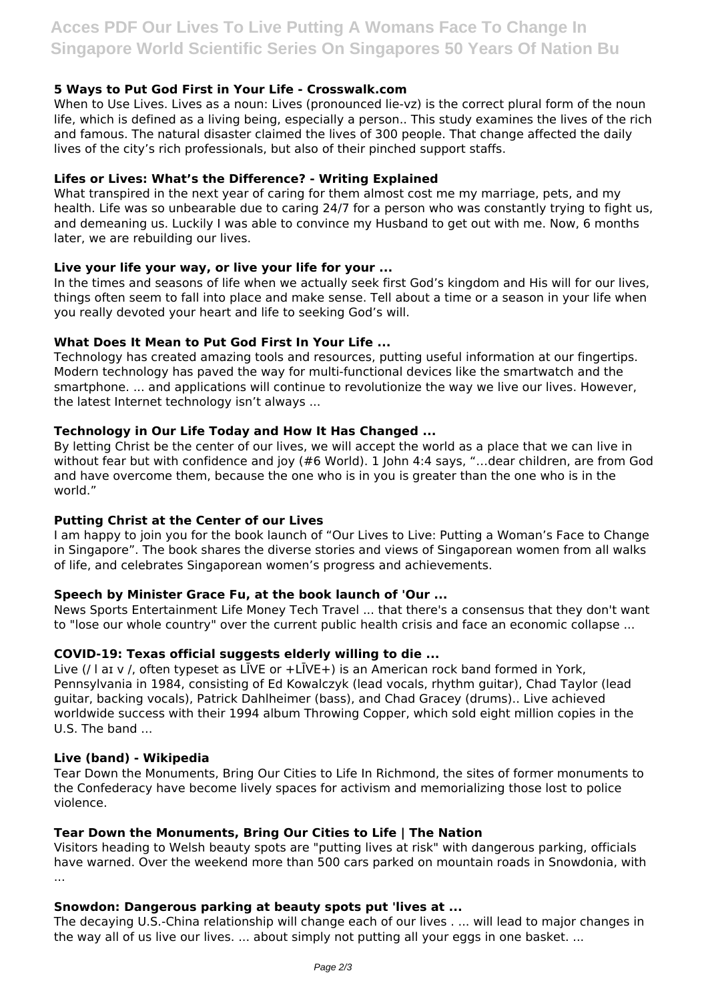## **5 Ways to Put God First in Your Life - Crosswalk.com**

When to Use Lives. Lives as a noun: Lives (pronounced lie-vz) is the correct plural form of the noun life, which is defined as a living being, especially a person.. This study examines the lives of the rich and famous. The natural disaster claimed the lives of 300 people. That change affected the daily lives of the city's rich professionals, but also of their pinched support staffs.

#### **Lifes or Lives: What's the Difference? - Writing Explained**

What transpired in the next year of caring for them almost cost me my marriage, pets, and my health. Life was so unbearable due to caring 24/7 for a person who was constantly trying to fight us, and demeaning us. Luckily I was able to convince my Husband to get out with me. Now, 6 months later, we are rebuilding our lives.

#### **Live your life your way, or live your life for your ...**

In the times and seasons of life when we actually seek first God's kingdom and His will for our lives, things often seem to fall into place and make sense. Tell about a time or a season in your life when you really devoted your heart and life to seeking God's will.

## **What Does It Mean to Put God First In Your Life ...**

Technology has created amazing tools and resources, putting useful information at our fingertips. Modern technology has paved the way for multi-functional devices like the smartwatch and the smartphone. ... and applications will continue to revolutionize the way we live our lives. However, the latest Internet technology isn't always ...

## **Technology in Our Life Today and How It Has Changed ...**

By letting Christ be the center of our lives, we will accept the world as a place that we can live in without fear but with confidence and joy (#6 World). 1 John 4:4 says, "…dear children, are from God and have overcome them, because the one who is in you is greater than the one who is in the world."

#### **Putting Christ at the Center of our Lives**

I am happy to join you for the book launch of "Our Lives to Live: Putting a Woman's Face to Change in Singapore". The book shares the diverse stories and views of Singaporean women from all walks of life, and celebrates Singaporean women's progress and achievements.

#### **Speech by Minister Grace Fu, at the book launch of 'Our ...**

News Sports Entertainment Life Money Tech Travel ... that there's a consensus that they don't want to "lose our whole country" over the current public health crisis and face an economic collapse ...

#### **COVID-19: Texas official suggests elderly willing to die ...**

Live (/ l aɪ v /, often typeset as LĪVE or +LĪVE+) is an American rock band formed in York, Pennsylvania in 1984, consisting of Ed Kowalczyk (lead vocals, rhythm guitar), Chad Taylor (lead guitar, backing vocals), Patrick Dahlheimer (bass), and Chad Gracey (drums).. Live achieved worldwide success with their 1994 album Throwing Copper, which sold eight million copies in the U.S. The band ...

#### **Live (band) - Wikipedia**

Tear Down the Monuments, Bring Our Cities to Life In Richmond, the sites of former monuments to the Confederacy have become lively spaces for activism and memorializing those lost to police violence.

# **Tear Down the Monuments, Bring Our Cities to Life | The Nation**

Visitors heading to Welsh beauty spots are "putting lives at risk" with dangerous parking, officials have warned. Over the weekend more than 500 cars parked on mountain roads in Snowdonia, with ...

#### **Snowdon: Dangerous parking at beauty spots put 'lives at ...**

The decaying U.S.-China relationship will change each of our lives . ... will lead to major changes in the way all of us live our lives. ... about simply not putting all your eggs in one basket. ...